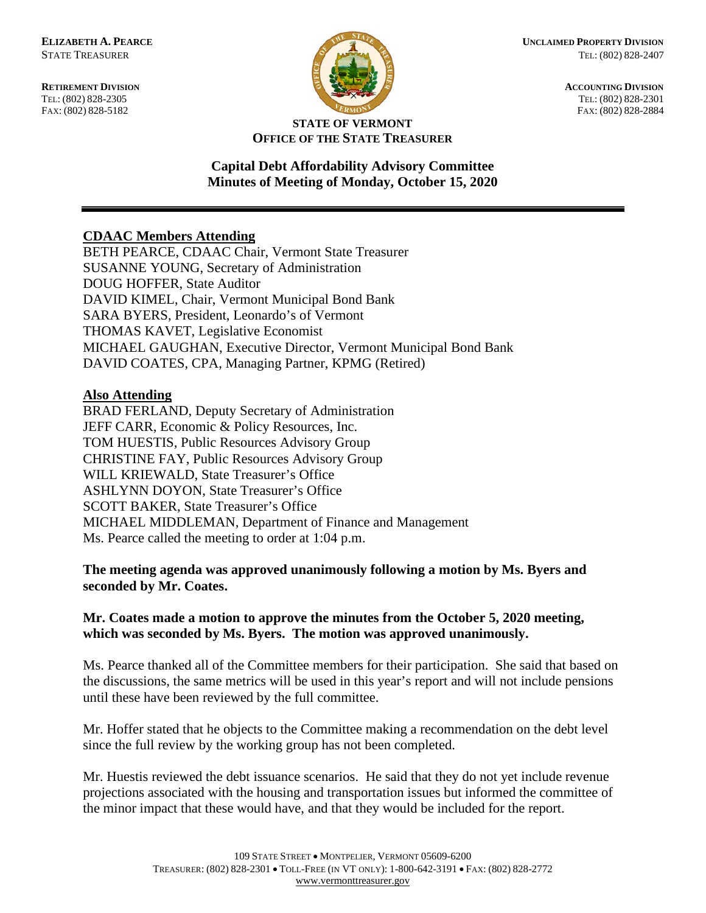**RETIREMENT DIVISION ACCOUNTING DIVISION** TEL: (802) 828-2305<br>
FAX: (802) 828-2305<br>
FAX: (802) 828-2884<br>
TEL: (802) 828-2884 FAX: (802) 828-5182



#### **STATE OF VERMONT OFFICE OF THE STATE TREASURER**

### **Capital Debt Affordability Advisory Committee Minutes of Meeting of Monday, October 15, 2020**

# **CDAAC Members Attending**

BETH PEARCE, CDAAC Chair, Vermont State Treasurer SUSANNE YOUNG, Secretary of Administration DOUG HOFFER, State Auditor DAVID KIMEL, Chair, Vermont Municipal Bond Bank SARA BYERS, President, Leonardo's of Vermont THOMAS KAVET, Legislative Economist MICHAEL GAUGHAN, Executive Director, Vermont Municipal Bond Bank DAVID COATES, CPA, Managing Partner, KPMG (Retired)

#### **Also Attending**

BRAD FERLAND, Deputy Secretary of Administration JEFF CARR, Economic & Policy Resources, Inc. TOM HUESTIS, Public Resources Advisory Group CHRISTINE FAY, Public Resources Advisory Group WILL KRIEWALD, State Treasurer's Office ASHLYNN DOYON, State Treasurer's Office SCOTT BAKER, State Treasurer's Office MICHAEL MIDDLEMAN, Department of Finance and Management Ms. Pearce called the meeting to order at 1:04 p.m.

**The meeting agenda was approved unanimously following a motion by Ms. Byers and seconded by Mr. Coates.**

# **Mr. Coates made a motion to approve the minutes from the October 5, 2020 meeting, which was seconded by Ms. Byers. The motion was approved unanimously.**

Ms. Pearce thanked all of the Committee members for their participation. She said that based on the discussions, the same metrics will be used in this year's report and will not include pensions until these have been reviewed by the full committee.

Mr. Hoffer stated that he objects to the Committee making a recommendation on the debt level since the full review by the working group has not been completed.

Mr. Huestis reviewed the debt issuance scenarios. He said that they do not yet include revenue projections associated with the housing and transportation issues but informed the committee of the minor impact that these would have, and that they would be included for the report.